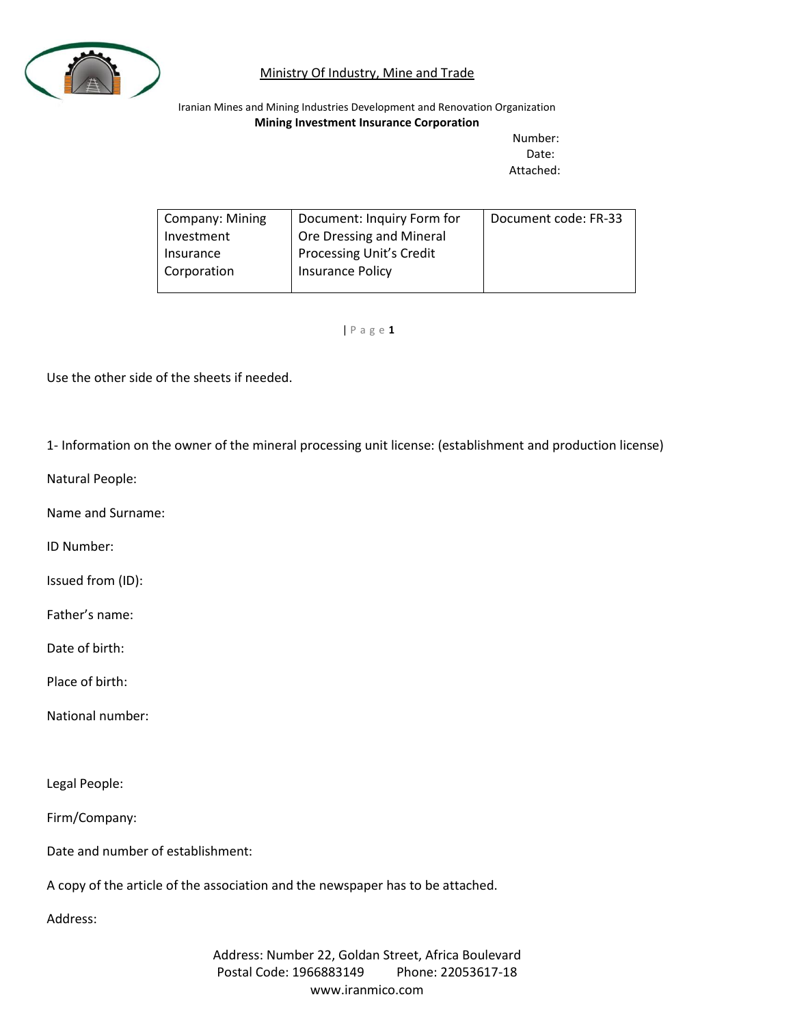

Iranian Mines and Mining Industries Development and Renovation Organization **Mining Investment Insurance Corporation**

Number: Date: Attached:

| Company: Mining | Document: Inquiry Form for      | Document code: FR-33 |
|-----------------|---------------------------------|----------------------|
| Investment      | Ore Dressing and Mineral        |                      |
| Insurance       | <b>Processing Unit's Credit</b> |                      |
| Corporation     | Insurance Policy                |                      |
|                 |                                 |                      |

#### | P a g e **1**

Use the other side of the sheets if needed.

1- Information on the owner of the mineral processing unit license: (establishment and production license)

Natural People:

Name and Surname:

ID Number:

Issued from (ID):

Father's name:

Date of birth:

Place of birth:

National number:

Legal People:

Firm/Company:

Date and number of establishment:

A copy of the article of the association and the newspaper has to be attached.

Address: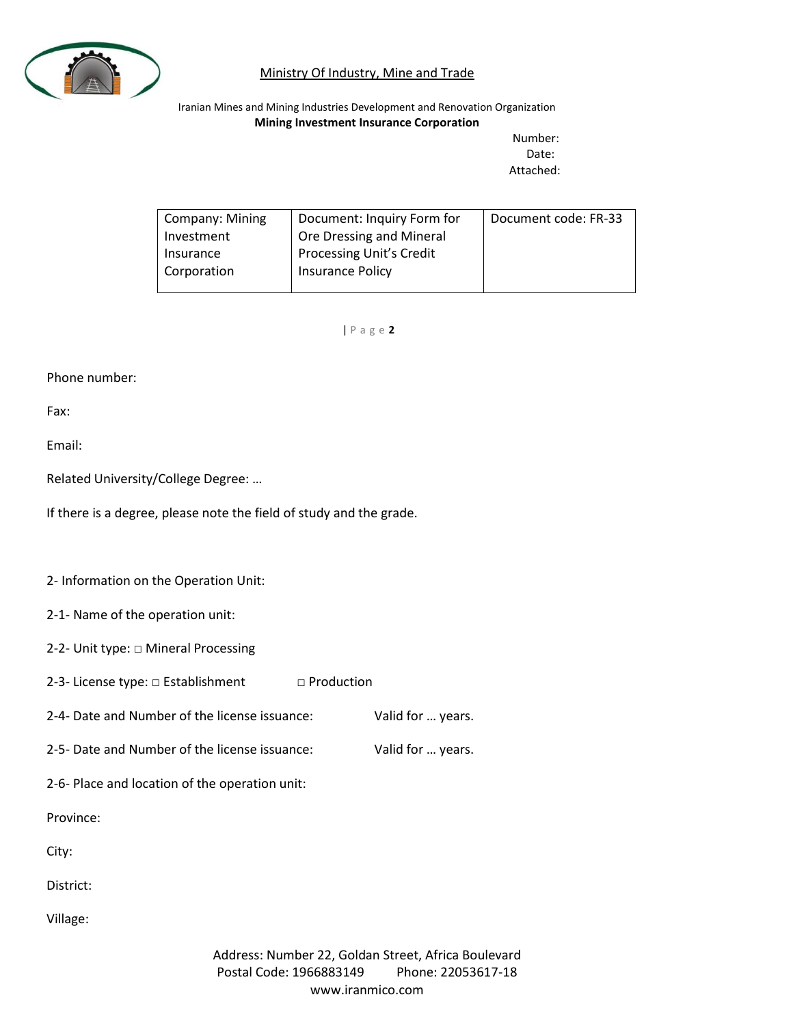

Iranian Mines and Mining Industries Development and Renovation Organization **Mining Investment Insurance Corporation**

Number: Date: Attached:

| Company: Mining | Document: Inquiry Form for      | Document code: FR-33 |
|-----------------|---------------------------------|----------------------|
| Investment      | Ore Dressing and Mineral        |                      |
| Insurance       | <b>Processing Unit's Credit</b> |                      |
| Corporation     | Insurance Policy                |                      |
|                 |                                 |                      |

| P a g e **2**

Phone number:

Fax:

Email:

Related University/College Degree: …

If there is a degree, please note the field of study and the grade.

2- Information on the Operation Unit:

2-1- Name of the operation unit:

2-2- Unit type: □ Mineral Processing

2-3- License type: □ Establishment □ Production

2-4- Date and Number of the license issuance: Valid for … years.

2-5- Date and Number of the license issuance: Valid for … years.

2-6- Place and location of the operation unit:

Province:

City:

District:

Village: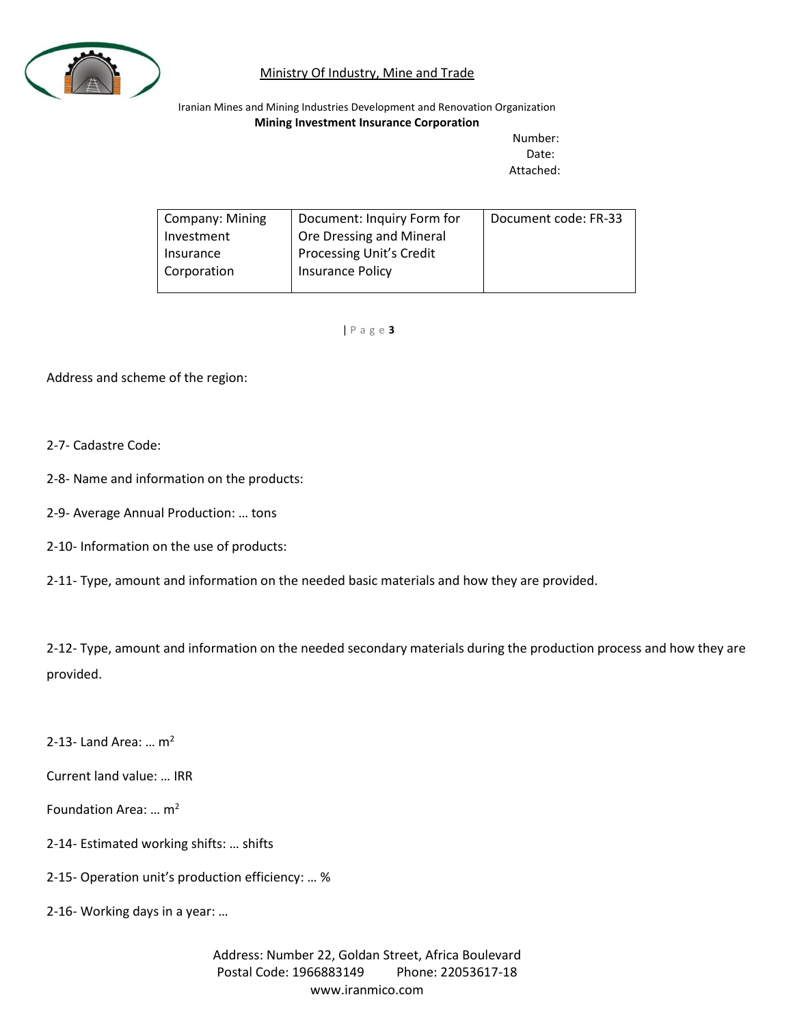

Iranian Mines and Mining Industries Development and Renovation Organization **Mining Investment Insurance Corporation**

Number: Date: Attached:

| Company: Mining | Document: Inquiry Form for      | Document code: FR-33 |
|-----------------|---------------------------------|----------------------|
| Investment      | Ore Dressing and Mineral        |                      |
| Insurance       | <b>Processing Unit's Credit</b> |                      |
| Corporation     | Insurance Policy                |                      |
|                 |                                 |                      |

| P a g e **3**

Address and scheme of the region:

#### 2-7- Cadastre Code:

- 2-8- Name and information on the products:
- 2-9- Average Annual Production: … tons
- 2-10- Information on the use of products:
- 2-11- Type, amount and information on the needed basic materials and how they are provided.

2-12- Type, amount and information on the needed secondary materials during the production process and how they are provided.

2-13- Land Area: ...  $m^2$ 

Current land value: … IRR

Foundation Area:  $\ldots$  m<sup>2</sup>

- 2-14- Estimated working shifts: … shifts
- 2-15- Operation unit's production efficiency: … %
- 2-16- Working days in a year: …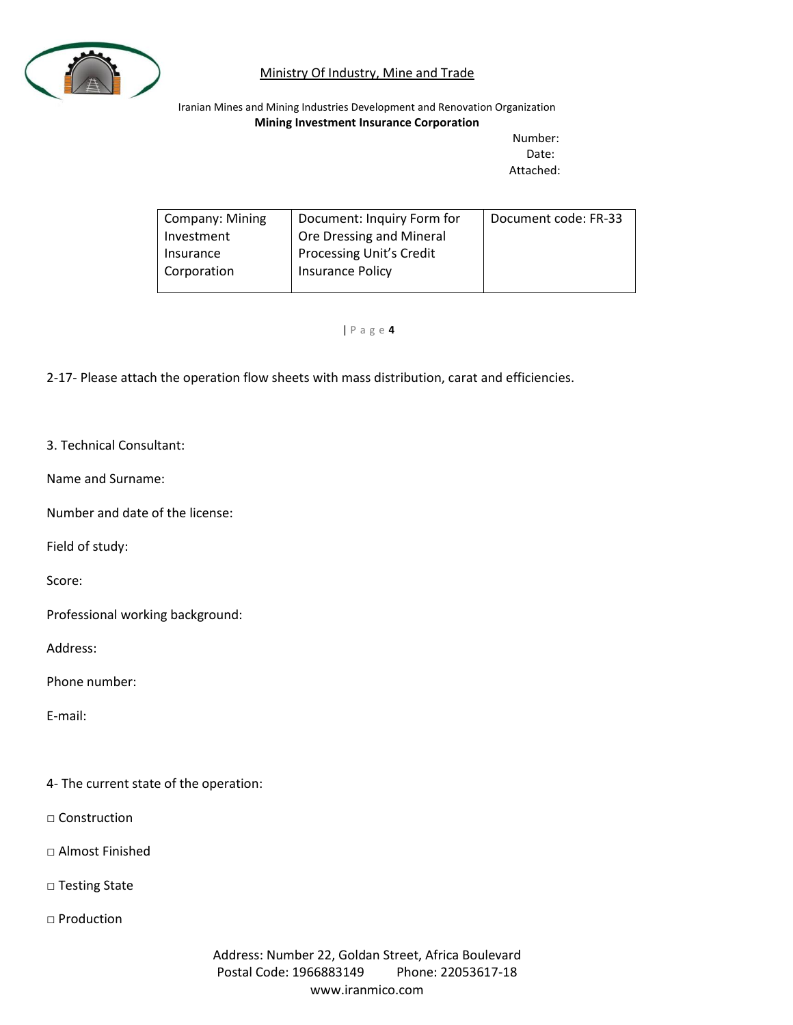

Iranian Mines and Mining Industries Development and Renovation Organization **Mining Investment Insurance Corporation**

Number: Date: Attached:

| <b>Company: Mining</b> | Document: Inquiry Form for      | Document code: FR-33 |
|------------------------|---------------------------------|----------------------|
| Investment             | Ore Dressing and Mineral        |                      |
| Insurance              | <b>Processing Unit's Credit</b> |                      |
| Corporation            | Insurance Policy                |                      |
|                        |                                 |                      |

| P a g e **4**

2-17- Please attach the operation flow sheets with mass distribution, carat and efficiencies.

- 3. Technical Consultant:
- Name and Surname:

Number and date of the license:

Field of study:

Score:

Professional working background:

Address:

Phone number:

E-mail:

4- The current state of the operation:

□ Construction

□ Almost Finished

□ Testing State

□ Production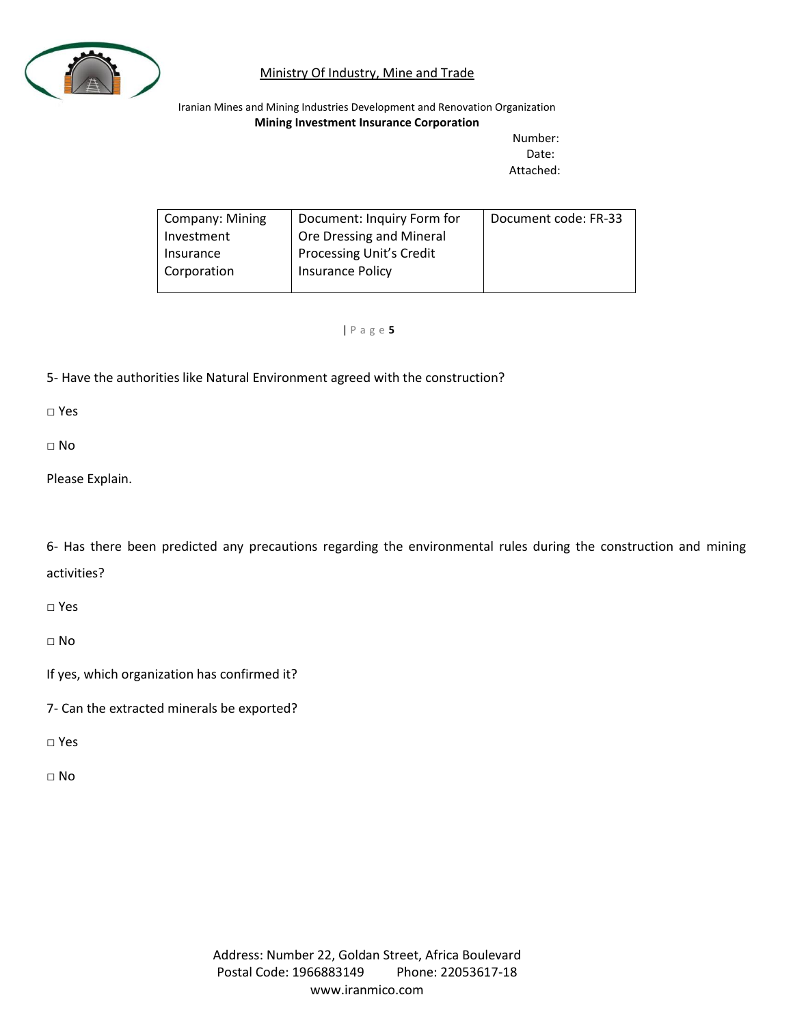

Iranian Mines and Mining Industries Development and Renovation Organization **Mining Investment Insurance Corporation**

Number: Date: Attached:

| <b>Company: Mining</b> | Document: Inquiry Form for | Document code: FR-33 |
|------------------------|----------------------------|----------------------|
|                        |                            |                      |
| Investment             | Ore Dressing and Mineral   |                      |
|                        |                            |                      |
| Insurance              | Processing Unit's Credit   |                      |
|                        |                            |                      |
| Corporation            | Insurance Policy           |                      |
|                        |                            |                      |
|                        |                            |                      |
|                        |                            |                      |

| P a g e **5**

5- Have the authorities like Natural Environment agreed with the construction?

□ Yes

 $\Box$  No

Please Explain.

6- Has there been predicted any precautions regarding the environmental rules during the construction and mining activities?

□ Yes

□ No

If yes, which organization has confirmed it?

7- Can the extracted minerals be exported?

□ Yes

□ No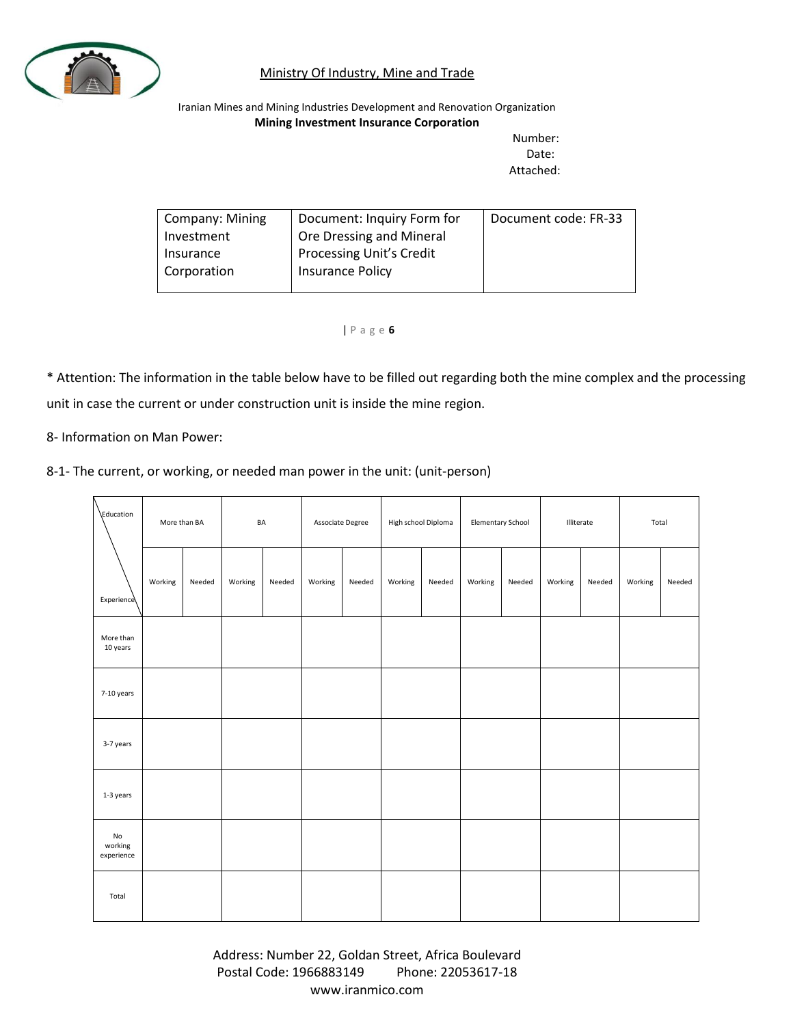

Iranian Mines and Mining Industries Development and Renovation Organization **Mining Investment Insurance Corporation**

> Number: Date: Attached:

| Company: Mining | Document: Inquiry Form for      | Document code: FR-33 |
|-----------------|---------------------------------|----------------------|
| Investment      | Ore Dressing and Mineral        |                      |
| Insurance       | <b>Processing Unit's Credit</b> |                      |
| Corporation     | <b>Insurance Policy</b>         |                      |
|                 |                                 |                      |

#### | P a g e **6**

\* Attention: The information in the table below have to be filled out regarding both the mine complex and the processing unit in case the current or under construction unit is inside the mine region.

8- Information on Man Power:

| 8-1- The current, or working, or needed man power in the unit: (unit-person) |  |  |  |  |  |  |
|------------------------------------------------------------------------------|--|--|--|--|--|--|
|------------------------------------------------------------------------------|--|--|--|--|--|--|

| Education                              | More than BA |        | BA      |        | Associate Degree |        | High school Diploma |        | <b>Elementary School</b> |        | Illiterate |        | Total   |        |
|----------------------------------------|--------------|--------|---------|--------|------------------|--------|---------------------|--------|--------------------------|--------|------------|--------|---------|--------|
| Experience                             | Working      | Needed | Working | Needed | Working          | Needed | Working             | Needed | Working                  | Needed | Working    | Needed | Working | Needed |
| More than<br>10 years                  |              |        |         |        |                  |        |                     |        |                          |        |            |        |         |        |
| 7-10 years                             |              |        |         |        |                  |        |                     |        |                          |        |            |        |         |        |
| 3-7 years                              |              |        |         |        |                  |        |                     |        |                          |        |            |        |         |        |
| 1-3 years                              |              |        |         |        |                  |        |                     |        |                          |        |            |        |         |        |
| $\mathsf{No}$<br>working<br>experience |              |        |         |        |                  |        |                     |        |                          |        |            |        |         |        |
| Total                                  |              |        |         |        |                  |        |                     |        |                          |        |            |        |         |        |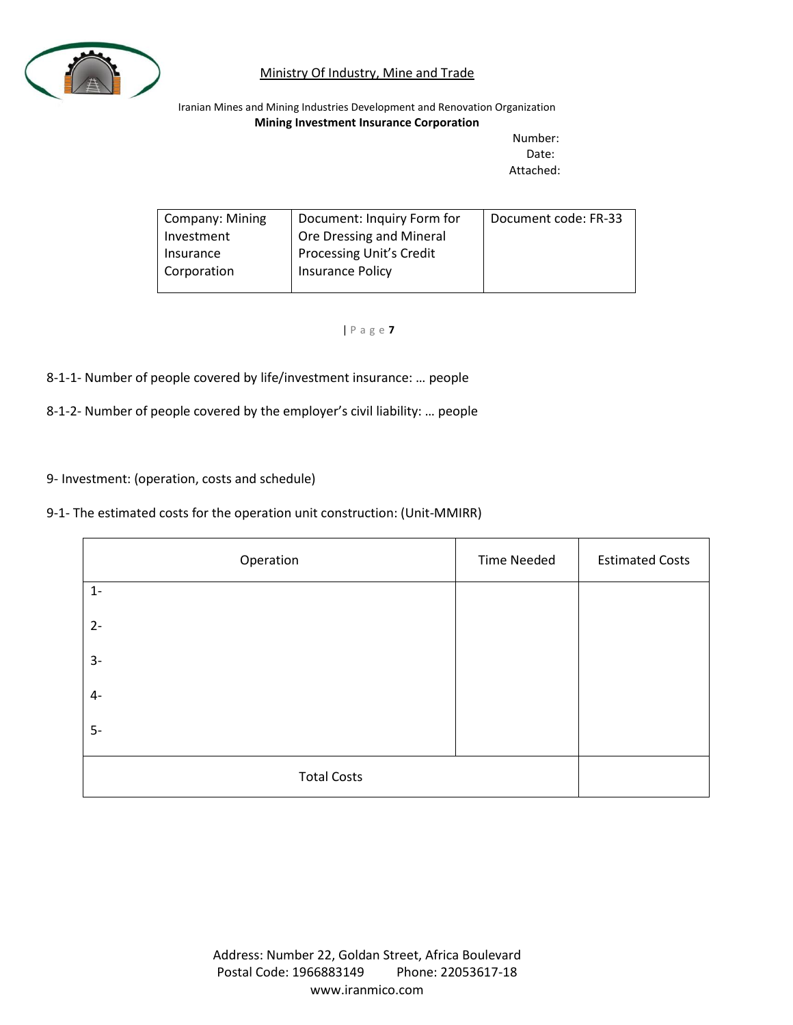

Iranian Mines and Mining Industries Development and Renovation Organization **Mining Investment Insurance Corporation**

Number: Date: Attached:

| Company: Mining | Document: Inquiry Form for      | Document code: FR-33 |
|-----------------|---------------------------------|----------------------|
| Investment      | Ore Dressing and Mineral        |                      |
| Insurance       | <b>Processing Unit's Credit</b> |                      |
| Corporation     | Insurance Policy                |                      |
|                 |                                 |                      |

| P a g e **7**

8-1-1- Number of people covered by life/investment insurance: … people

8-1-2- Number of people covered by the employer's civil liability: … people

9- Investment: (operation, costs and schedule)

9-1- The estimated costs for the operation unit construction: (Unit-MMIRR)

| Operation          | <b>Time Needed</b> | <b>Estimated Costs</b> |
|--------------------|--------------------|------------------------|
| $1 -$              |                    |                        |
| $2 -$              |                    |                        |
| $3-$               |                    |                        |
| $4-$               |                    |                        |
| $5-$               |                    |                        |
| <b>Total Costs</b> |                    |                        |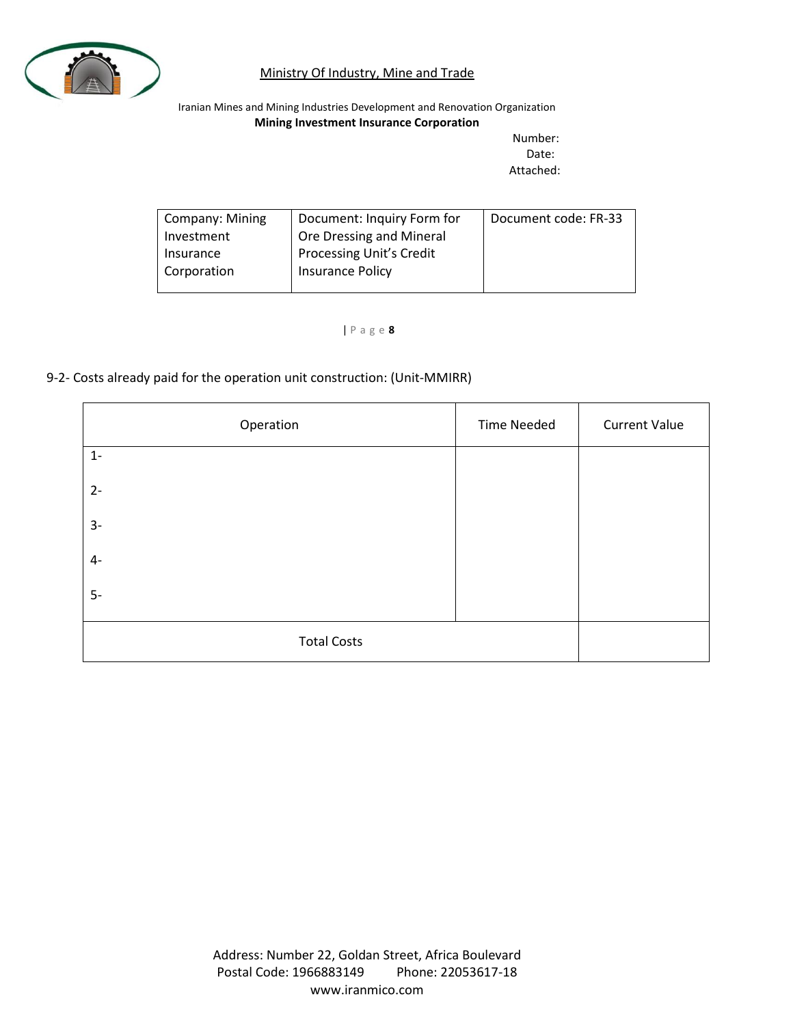

Iranian Mines and Mining Industries Development and Renovation Organization **Mining Investment Insurance Corporation**

Number: Date: Attached:

| <b>Company: Mining</b> | Document: Inquiry Form for      | Document code: FR-33 |
|------------------------|---------------------------------|----------------------|
| Investment             | Ore Dressing and Mineral        |                      |
| Insurance              | <b>Processing Unit's Credit</b> |                      |
| Corporation            | <b>Insurance Policy</b>         |                      |
|                        |                                 |                      |

| P a g e **8**

### 9-2- Costs already paid for the operation unit construction: (Unit-MMIRR)

| Operation          | <b>Time Needed</b> | <b>Current Value</b> |
|--------------------|--------------------|----------------------|
| $1 -$              |                    |                      |
| $2 -$              |                    |                      |
| $3-$               |                    |                      |
| $4-$               |                    |                      |
| $5-$               |                    |                      |
| <b>Total Costs</b> |                    |                      |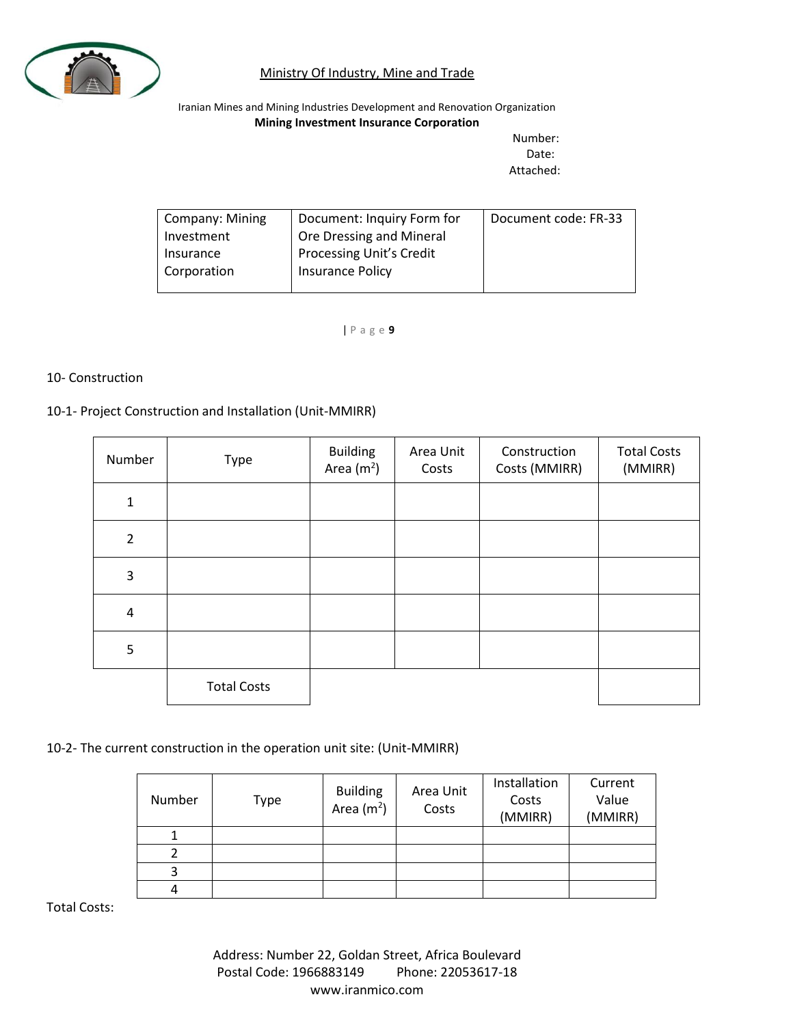

Iranian Mines and Mining Industries Development and Renovation Organization **Mining Investment Insurance Corporation**

Number: Date: Attached:

| <b>Company: Mining</b> | Document: Inquiry Form for      | Document code: FR-33 |
|------------------------|---------------------------------|----------------------|
| Investment             | Ore Dressing and Mineral        |                      |
| Insurance              | <b>Processing Unit's Credit</b> |                      |
| Corporation            | <b>Insurance Policy</b>         |                      |
|                        |                                 |                      |

| P a g e **9**

#### 10- Construction

#### 10-1- Project Construction and Installation (Unit-MMIRR)

| Number         | Type               | <b>Building</b><br>Area $(m2)$ | Area Unit<br>Costs | Construction<br>Costs (MMIRR) | <b>Total Costs</b><br>(MMIRR) |
|----------------|--------------------|--------------------------------|--------------------|-------------------------------|-------------------------------|
| $\mathbf{1}$   |                    |                                |                    |                               |                               |
| $\overline{2}$ |                    |                                |                    |                               |                               |
| 3              |                    |                                |                    |                               |                               |
| $\pmb{4}$      |                    |                                |                    |                               |                               |
| 5              |                    |                                |                    |                               |                               |
|                | <b>Total Costs</b> |                                |                    |                               |                               |

10-2- The current construction in the operation unit site: (Unit-MMIRR)

| Number | Type | <b>Building</b><br>Area $(m2)$ | Area Unit<br>Costs | Installation<br>Costs<br>(MMIRR) | Current<br>Value<br>(MMIRR) |
|--------|------|--------------------------------|--------------------|----------------------------------|-----------------------------|
|        |      |                                |                    |                                  |                             |
|        |      |                                |                    |                                  |                             |
| 3      |      |                                |                    |                                  |                             |
| 4      |      |                                |                    |                                  |                             |

Total Costs: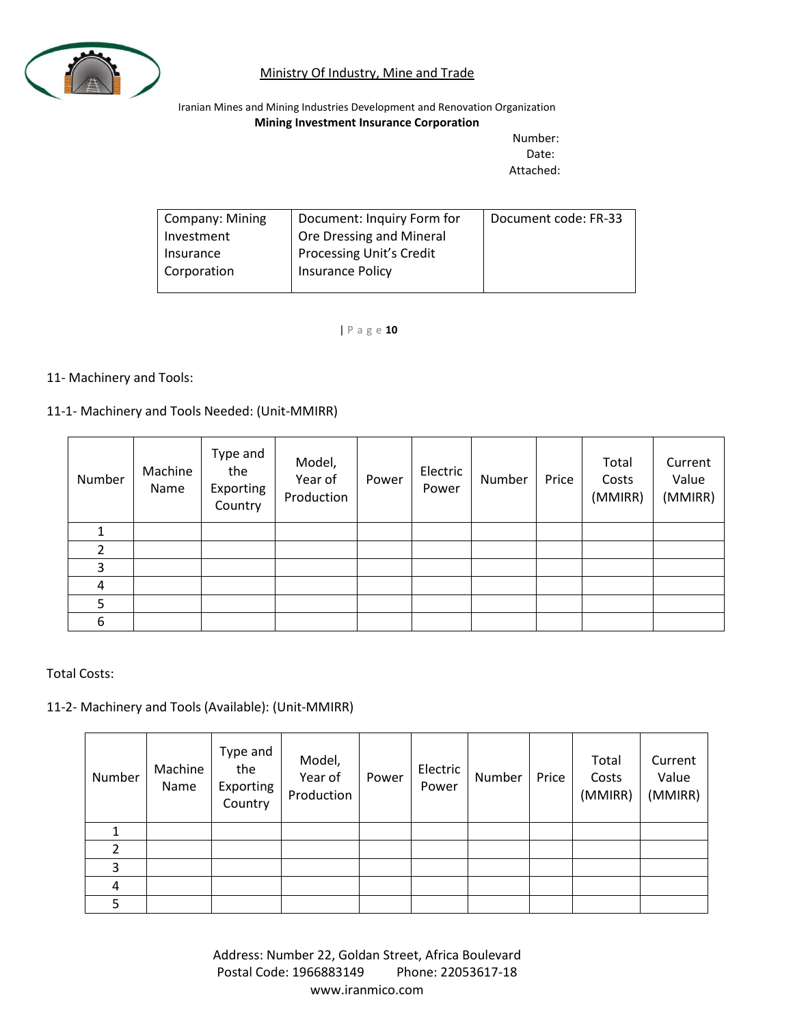

Iranian Mines and Mining Industries Development and Renovation Organization **Mining Investment Insurance Corporation**

> Number: Date: Attached:

| Company: Mining | Document: Inquiry Form for      | Document code: FR-33 |
|-----------------|---------------------------------|----------------------|
| Investment      | Ore Dressing and Mineral        |                      |
| Insurance       | <b>Processing Unit's Credit</b> |                      |
| Corporation     | <b>Insurance Policy</b>         |                      |
|                 |                                 |                      |

| P a g e **10**

#### 11- Machinery and Tools:

#### 11-1- Machinery and Tools Needed: (Unit-MMIRR)

| Number | Machine<br>Name | Type and<br>the<br>Exporting<br>Country | Model,<br>Year of<br>Production | Power | Electric<br>Power | Number | Price | Total<br>Costs<br>(MMIRR) | Current<br>Value<br>(MMIRR) |
|--------|-----------------|-----------------------------------------|---------------------------------|-------|-------------------|--------|-------|---------------------------|-----------------------------|
|        |                 |                                         |                                 |       |                   |        |       |                           |                             |
|        |                 |                                         |                                 |       |                   |        |       |                           |                             |
| 3      |                 |                                         |                                 |       |                   |        |       |                           |                             |
| 4      |                 |                                         |                                 |       |                   |        |       |                           |                             |
| 5      |                 |                                         |                                 |       |                   |        |       |                           |                             |
| 6      |                 |                                         |                                 |       |                   |        |       |                           |                             |

Total Costs:

### 11-2- Machinery and Tools (Available): (Unit-MMIRR)

| Number | Machine<br>Name | Type and<br>the<br>Exporting<br>Country | Model,<br>Year of<br>Production | Power | Electric<br>Power | Number | Price | Total<br>Costs<br>(MMIRR) | Current<br>Value<br>(MMIRR) |
|--------|-----------------|-----------------------------------------|---------------------------------|-------|-------------------|--------|-------|---------------------------|-----------------------------|
|        |                 |                                         |                                 |       |                   |        |       |                           |                             |
|        |                 |                                         |                                 |       |                   |        |       |                           |                             |
| 3      |                 |                                         |                                 |       |                   |        |       |                           |                             |
| 4      |                 |                                         |                                 |       |                   |        |       |                           |                             |
| 5      |                 |                                         |                                 |       |                   |        |       |                           |                             |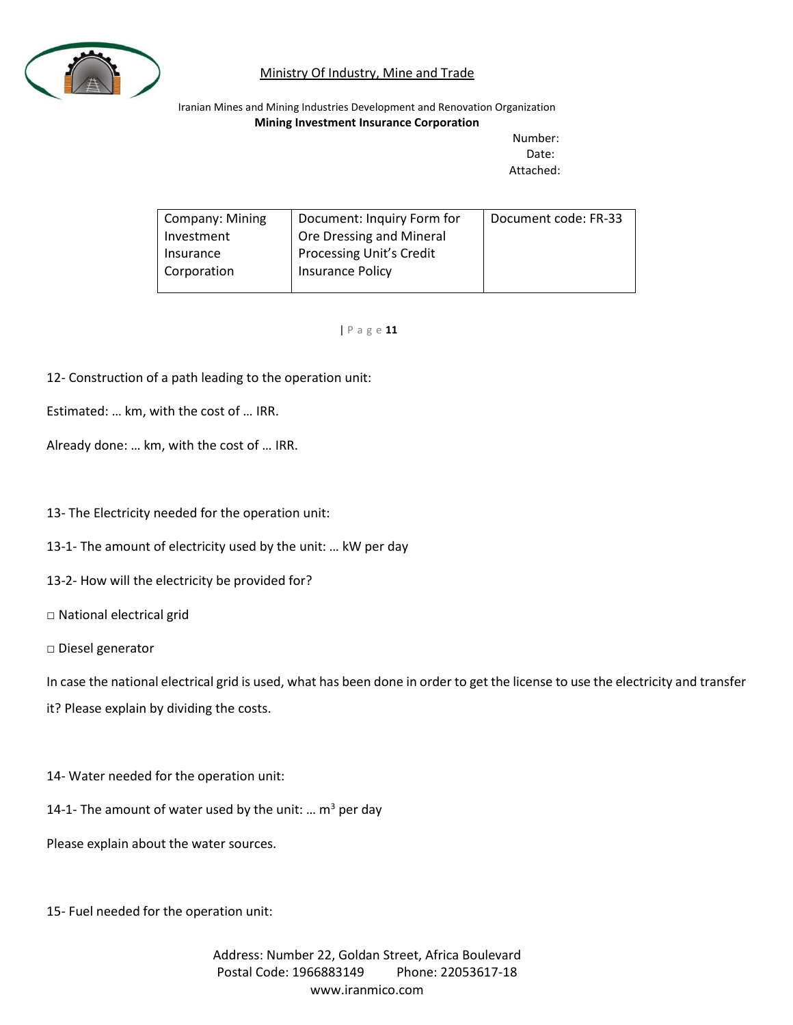

Iranian Mines and Mining Industries Development and Renovation Organization **Mining Investment Insurance Corporation**

Number: Date: Attached:

| <b>Company: Mining</b> | Document: Inquiry Form for      | Document code: FR-33 |
|------------------------|---------------------------------|----------------------|
| Investment             | Ore Dressing and Mineral        |                      |
| Insurance              | <b>Processing Unit's Credit</b> |                      |
| Corporation            | Insurance Policy                |                      |
|                        |                                 |                      |

| P a g e **11**

12- Construction of a path leading to the operation unit:

Estimated: … km, with the cost of … IRR.

Already done: … km, with the cost of … IRR.

13- The Electricity needed for the operation unit:

13-1- The amount of electricity used by the unit: … kW per day

13-2- How will the electricity be provided for?

□ National electrical grid

□ Diesel generator

In case the national electrical grid is used, what has been done in order to get the license to use the electricity and transfer it? Please explain by dividing the costs.

14- Water needed for the operation unit:

14-1- The amount of water used by the unit: ...  $m^3$  per day

Please explain about the water sources.

15- Fuel needed for the operation unit: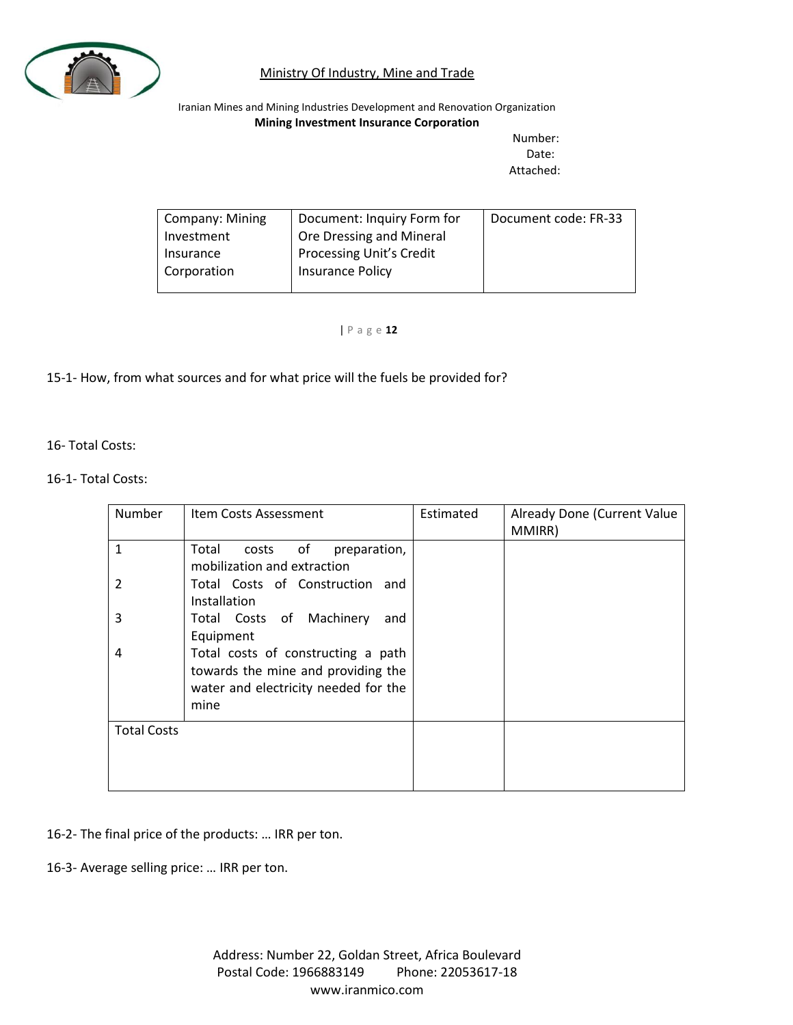

Iranian Mines and Mining Industries Development and Renovation Organization **Mining Investment Insurance Corporation**

Number: Date: Attached:

| Company: Mining | Document: Inquiry Form for      | Document code: FR-33 |
|-----------------|---------------------------------|----------------------|
| Investment      | Ore Dressing and Mineral        |                      |
| Insurance       | <b>Processing Unit's Credit</b> |                      |
| Corporation     | <b>Insurance Policy</b>         |                      |
|                 |                                 |                      |

| P a g e **12**

### 15-1- How, from what sources and for what price will the fuels be provided for?

16- Total Costs:

#### 16-1- Total Costs:

| Number             | Item Costs Assessment                                                                                                    | Estimated | Already Done (Current Value<br>MMIRR) |
|--------------------|--------------------------------------------------------------------------------------------------------------------------|-----------|---------------------------------------|
| 1                  | Total<br>of<br>preparation,<br>costs<br>mobilization and extraction                                                      |           |                                       |
| 2                  | Total Costs of Construction and<br>Installation                                                                          |           |                                       |
| 3                  | Total Costs of Machinery<br>and<br>Equipment                                                                             |           |                                       |
| 4                  | Total costs of constructing a path<br>towards the mine and providing the<br>water and electricity needed for the<br>mine |           |                                       |
| <b>Total Costs</b> |                                                                                                                          |           |                                       |

- 16-2- The final price of the products: … IRR per ton.
- 16-3- Average selling price: … IRR per ton.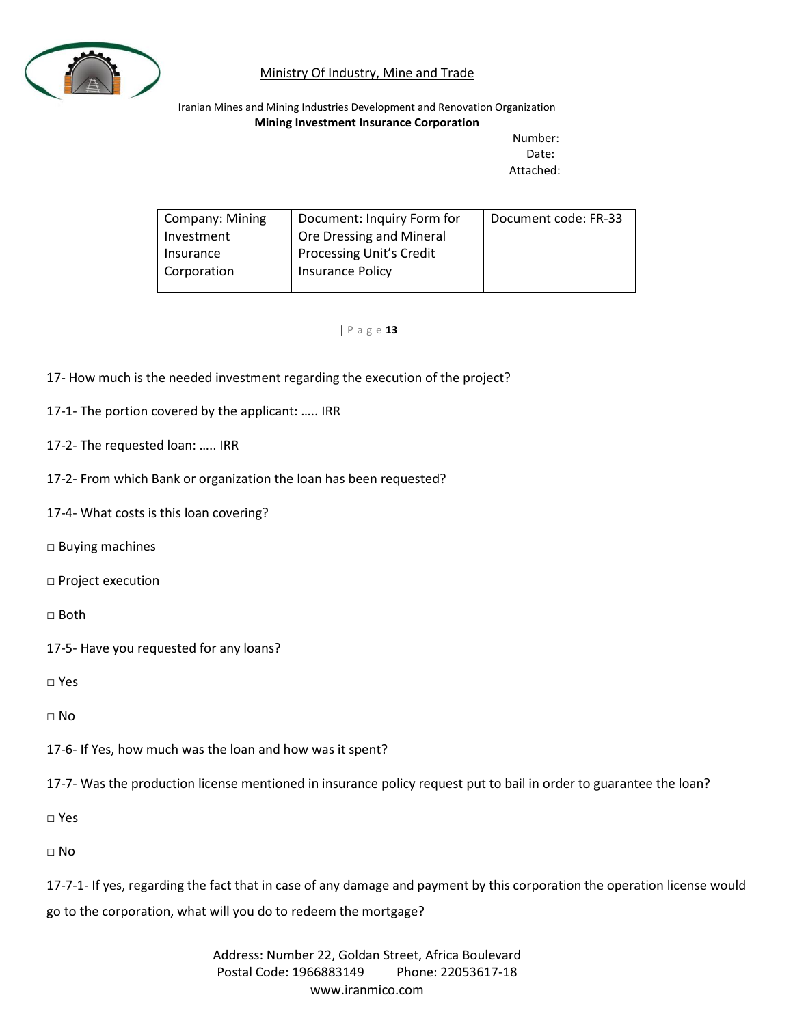

Iranian Mines and Mining Industries Development and Renovation Organization **Mining Investment Insurance Corporation**

Number: Date: Attached:

| <b>Company: Mining</b> | Document: Inquiry Form for      | Document code: FR-33 |
|------------------------|---------------------------------|----------------------|
| Investment             | Ore Dressing and Mineral        |                      |
| Insurance              | <b>Processing Unit's Credit</b> |                      |
| Corporation            | <b>Insurance Policy</b>         |                      |
|                        |                                 |                      |

#### | P a g e **13**

- 17- How much is the needed investment regarding the execution of the project?
- 17-1- The portion covered by the applicant: ….. IRR
- 17-2- The requested loan: ….. IRR
- 17-2- From which Bank or organization the loan has been requested?
- 17-4- What costs is this loan covering?
- □ Buying machines
- □ Project execution

□ Both

17-5- Have you requested for any loans?

□ Yes

 $\Box$  No

17-6- If Yes, how much was the loan and how was it spent?

17-7- Was the production license mentioned in insurance policy request put to bail in order to guarantee the loan?

□ Yes

□ No

17-7-1- If yes, regarding the fact that in case of any damage and payment by this corporation the operation license would go to the corporation, what will you do to redeem the mortgage?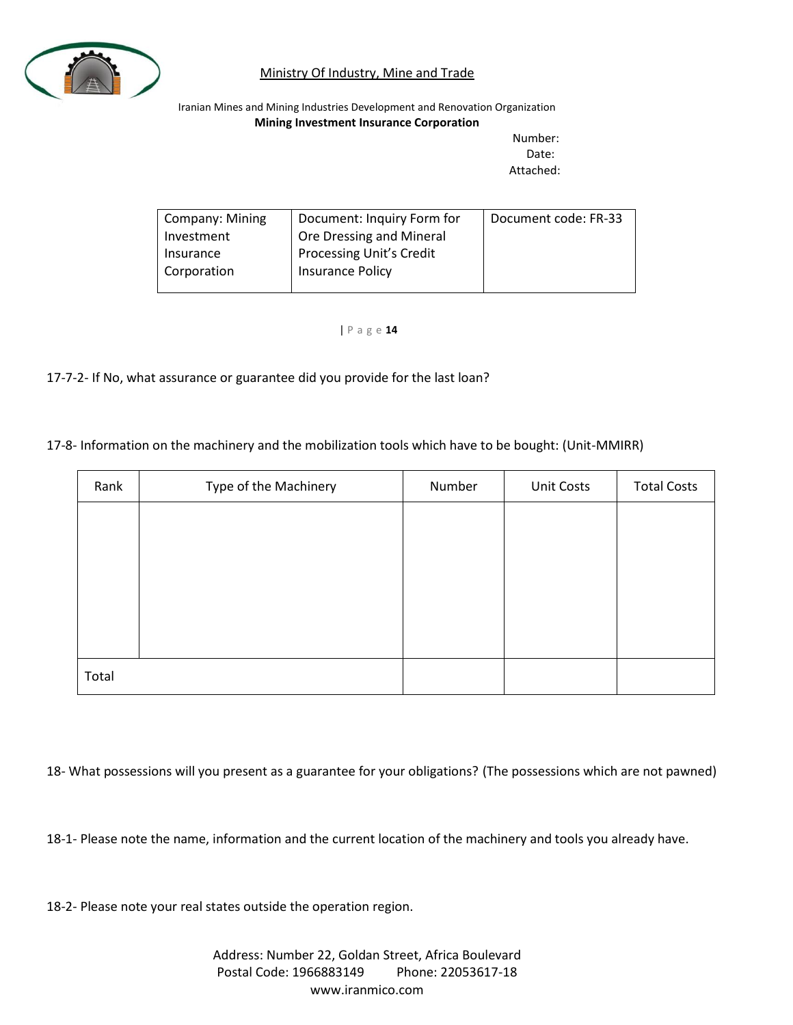

Iranian Mines and Mining Industries Development and Renovation Organization **Mining Investment Insurance Corporation**

Number: Date: Attached:

| Company: Mining | Document: Inquiry Form for      | Document code: FR-33 |
|-----------------|---------------------------------|----------------------|
| Investment      | Ore Dressing and Mineral        |                      |
| Insurance       | <b>Processing Unit's Credit</b> |                      |
| Corporation     | Insurance Policy                |                      |
|                 |                                 |                      |

| P a g e **14**

17-7-2- If No, what assurance or guarantee did you provide for the last loan?

17-8- Information on the machinery and the mobilization tools which have to be bought: (Unit-MMIRR)

| Rank  | Type of the Machinery | Number | <b>Unit Costs</b> | <b>Total Costs</b> |
|-------|-----------------------|--------|-------------------|--------------------|
|       |                       |        |                   |                    |
|       |                       |        |                   |                    |
|       |                       |        |                   |                    |
|       |                       |        |                   |                    |
|       |                       |        |                   |                    |
| Total |                       |        |                   |                    |

18- What possessions will you present as a guarantee for your obligations? (The possessions which are not pawned)

18-1- Please note the name, information and the current location of the machinery and tools you already have.

18-2- Please note your real states outside the operation region.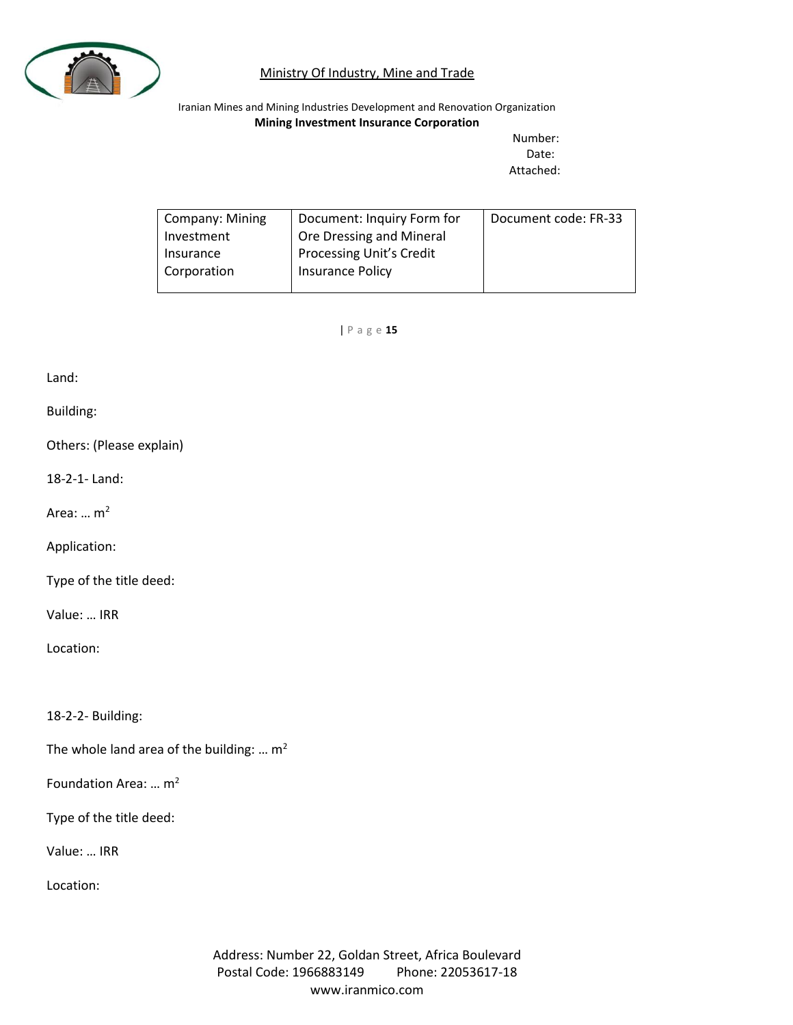

Iranian Mines and Mining Industries Development and Renovation Organization **Mining Investment Insurance Corporation**

Number: Date: Attached:

| Company: Mining | Document: Inquiry Form for      | Document code: FR-33 |
|-----------------|---------------------------------|----------------------|
| Investment      | Ore Dressing and Mineral        |                      |
| Insurance       | <b>Processing Unit's Credit</b> |                      |
| Corporation     | Insurance Policy                |                      |
|                 |                                 |                      |

| P a g e **15**

Land:

Building:

Others: (Please explain)

18-2-1- Land:

Area:  $\ldots$  m<sup>2</sup>

Application:

Type of the title deed:

Value: … IRR

Location:

18-2-2- Building:

The whole land area of the building: ...  $m^2$ 

Foundation Area: … m<sup>2</sup>

Type of the title deed:

Value: … IRR

Location: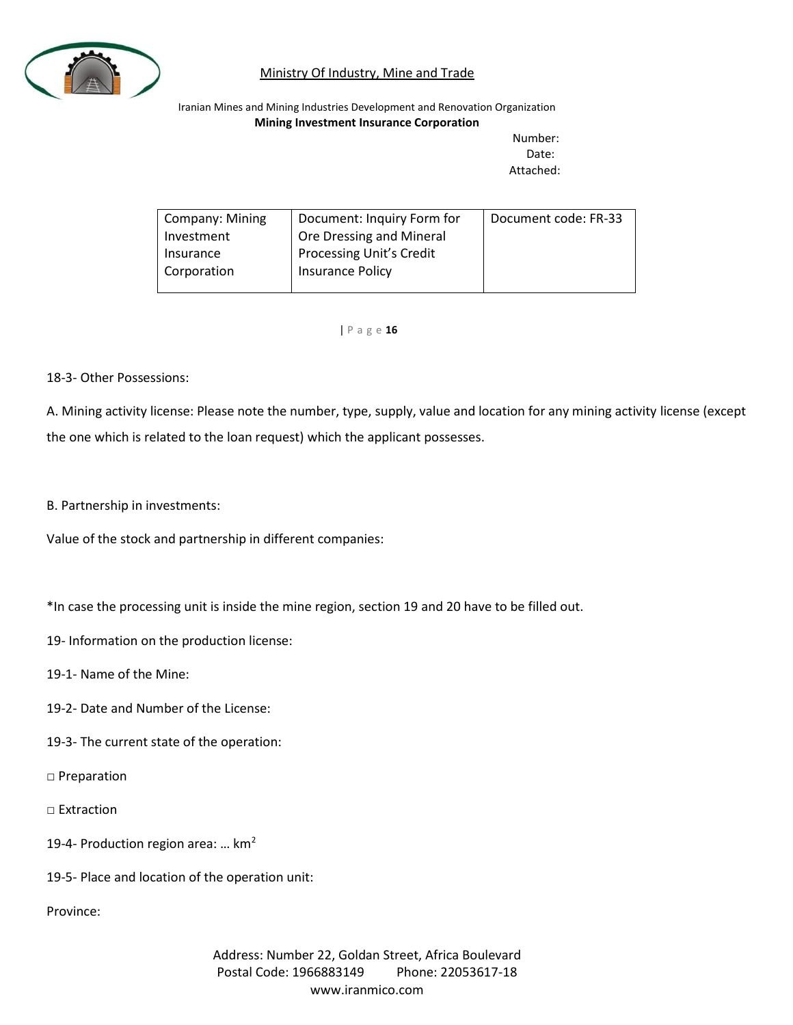

Iranian Mines and Mining Industries Development and Renovation Organization **Mining Investment Insurance Corporation**

Number: Date: Attached:

| <b>Company: Mining</b> | Document: Inquiry Form for      | Document code: FR-33 |
|------------------------|---------------------------------|----------------------|
| Investment             | Ore Dressing and Mineral        |                      |
| Insurance              | <b>Processing Unit's Credit</b> |                      |
| Corporation            | Insurance Policy                |                      |
|                        |                                 |                      |

| P a g e **16**

#### 18-3- Other Possessions:

A. Mining activity license: Please note the number, type, supply, value and location for any mining activity license (except the one which is related to the loan request) which the applicant possesses.

#### B. Partnership in investments:

Value of the stock and partnership in different companies:

\*In case the processing unit is inside the mine region, section 19 and 20 have to be filled out.

- 19- Information on the production license:
- 19-1- Name of the Mine:
- 19-2- Date and Number of the License:
- 19-3- The current state of the operation:
- □ Preparation
- □ Extraction
- 19-4- Production region area: ...  $km<sup>2</sup>$
- 19-5- Place and location of the operation unit:

Province: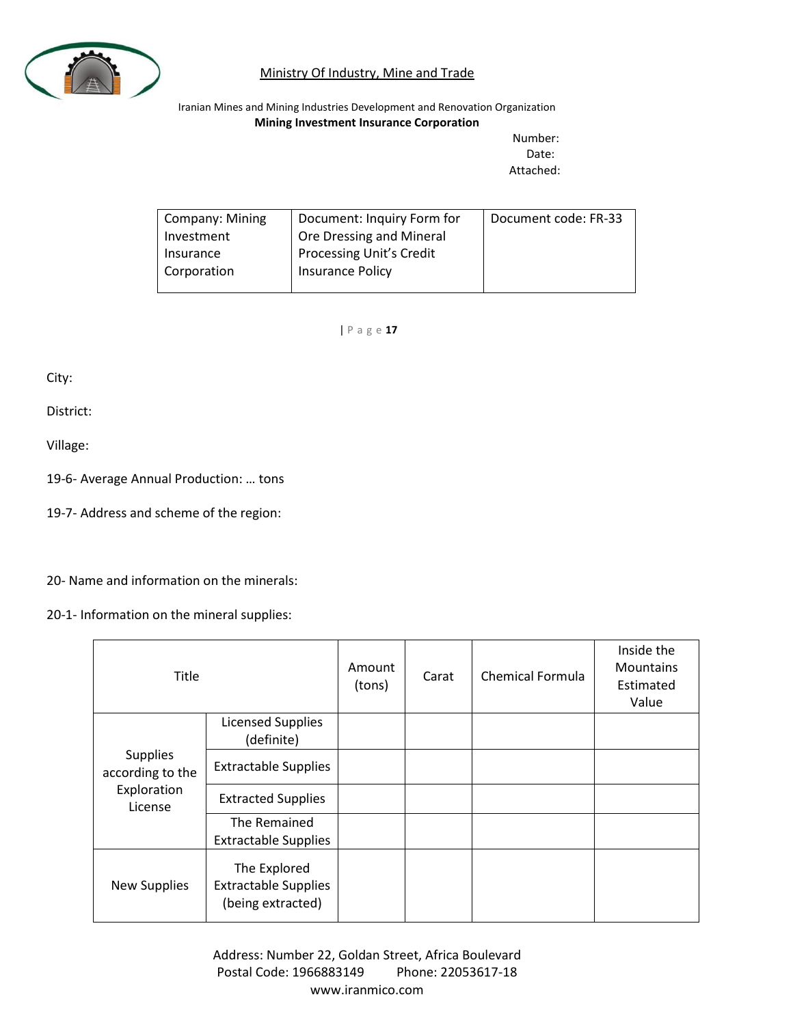

Iranian Mines and Mining Industries Development and Renovation Organization **Mining Investment Insurance Corporation**

Number: Date: Attached:

| <b>Company: Mining</b> | Document: Inquiry Form for | Document code: FR-33 |
|------------------------|----------------------------|----------------------|
| Investment             | Ore Dressing and Mineral   |                      |
| Insurance              | Processing Unit's Credit   |                      |
| Corporation            | Insurance Policy           |                      |
|                        |                            |                      |

| P a g e **17**

City:

District:

Village:

19-6- Average Annual Production: … tons

19-7- Address and scheme of the region:

20- Name and information on the minerals:

20-1- Information on the mineral supplies:

| <b>Title</b>                                                  |                                                                  | Amount<br>(tons) | Carat | <b>Chemical Formula</b> | Inside the<br><b>Mountains</b><br>Estimated<br>Value |
|---------------------------------------------------------------|------------------------------------------------------------------|------------------|-------|-------------------------|------------------------------------------------------|
|                                                               | <b>Licensed Supplies</b><br>(definite)                           |                  |       |                         |                                                      |
| <b>Supplies</b><br>according to the<br>Exploration<br>License | <b>Extractable Supplies</b>                                      |                  |       |                         |                                                      |
|                                                               | <b>Extracted Supplies</b>                                        |                  |       |                         |                                                      |
|                                                               | The Remained<br><b>Extractable Supplies</b>                      |                  |       |                         |                                                      |
| <b>New Supplies</b>                                           | The Explored<br><b>Extractable Supplies</b><br>(being extracted) |                  |       |                         |                                                      |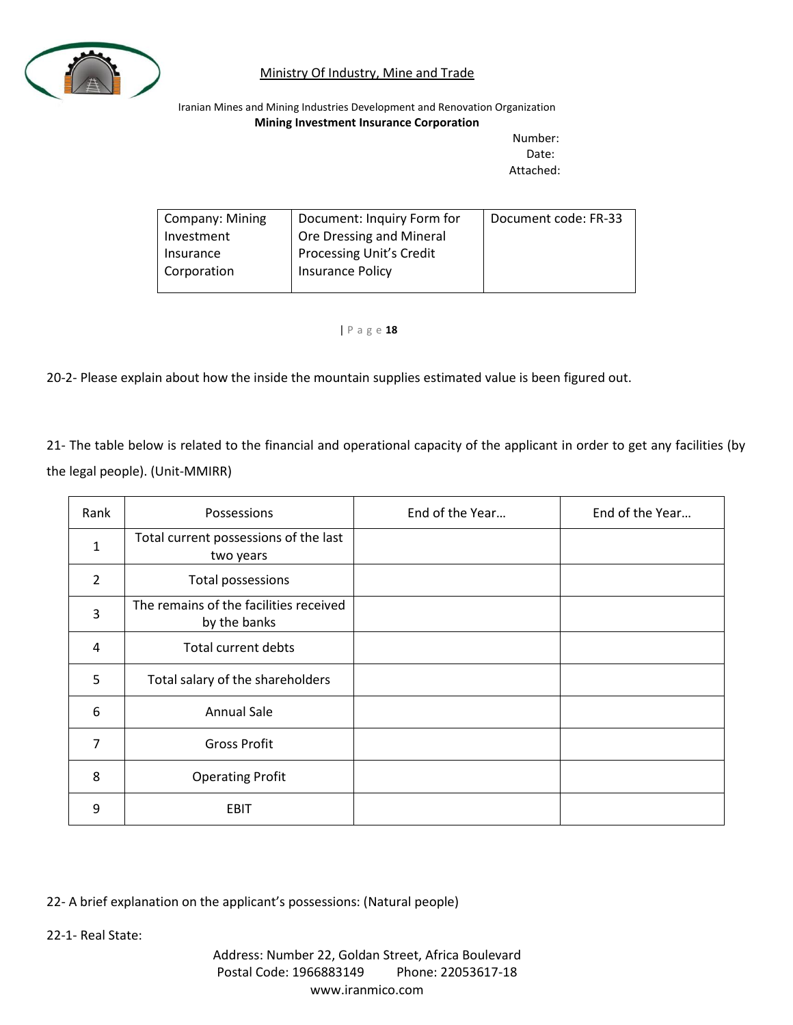

Iranian Mines and Mining Industries Development and Renovation Organization **Mining Investment Insurance Corporation**

Number: Date: Attached:

| Company: Mining | Document: Inquiry Form for      | Document code: FR-33 |
|-----------------|---------------------------------|----------------------|
| Investment      | Ore Dressing and Mineral        |                      |
| Insurance       | <b>Processing Unit's Credit</b> |                      |
| Corporation     | Insurance Policy                |                      |
|                 |                                 |                      |

| P a g e **18**

20-2- Please explain about how the inside the mountain supplies estimated value is been figured out.

21- The table below is related to the financial and operational capacity of the applicant in order to get any facilities (by the legal people). (Unit-MMIRR)

| Rank           | Possessions                                            | End of the Year | End of the Year |
|----------------|--------------------------------------------------------|-----------------|-----------------|
| $\mathbf{1}$   | Total current possessions of the last<br>two years     |                 |                 |
| $\overline{2}$ | <b>Total possessions</b>                               |                 |                 |
| 3              | The remains of the facilities received<br>by the banks |                 |                 |
| 4              | <b>Total current debts</b>                             |                 |                 |
| 5              | Total salary of the shareholders                       |                 |                 |
| 6              | <b>Annual Sale</b>                                     |                 |                 |
| 7              | <b>Gross Profit</b>                                    |                 |                 |
| 8              | <b>Operating Profit</b>                                |                 |                 |
| 9              | EBIT                                                   |                 |                 |

22- A brief explanation on the applicant's possessions: (Natural people)

22-1- Real State: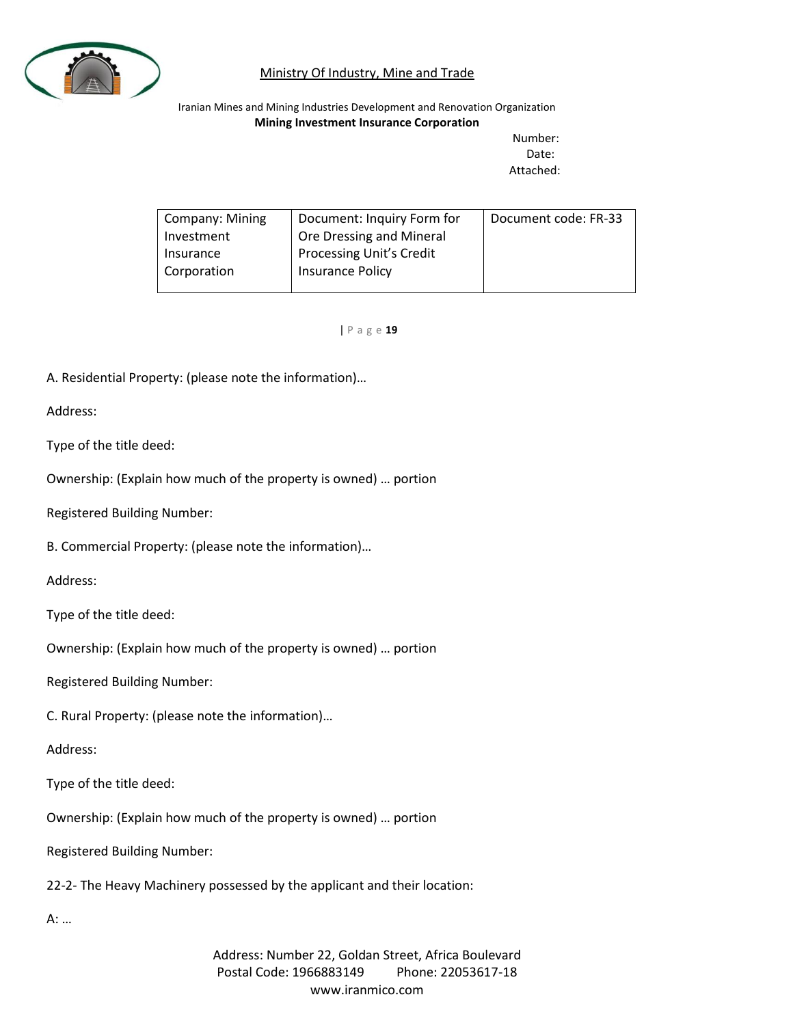

Iranian Mines and Mining Industries Development and Renovation Organization **Mining Investment Insurance Corporation**

Number: Date: Attached:

| <b>Company: Mining</b> | Document: Inquiry Form for      | Document code: FR-33 |
|------------------------|---------------------------------|----------------------|
| Investment             | Ore Dressing and Mineral        |                      |
| Insurance              | <b>Processing Unit's Credit</b> |                      |
| Corporation            | Insurance Policy                |                      |
|                        |                                 |                      |

| P a g e **19**

A. Residential Property: (please note the information)…

Address:

Type of the title deed:

Ownership: (Explain how much of the property is owned) … portion

Registered Building Number:

B. Commercial Property: (please note the information)…

Address:

Type of the title deed:

Ownership: (Explain how much of the property is owned) … portion

Registered Building Number:

C. Rural Property: (please note the information)…

Address:

Type of the title deed:

Ownership: (Explain how much of the property is owned) … portion

Registered Building Number:

22-2- The Heavy Machinery possessed by the applicant and their location:

A: …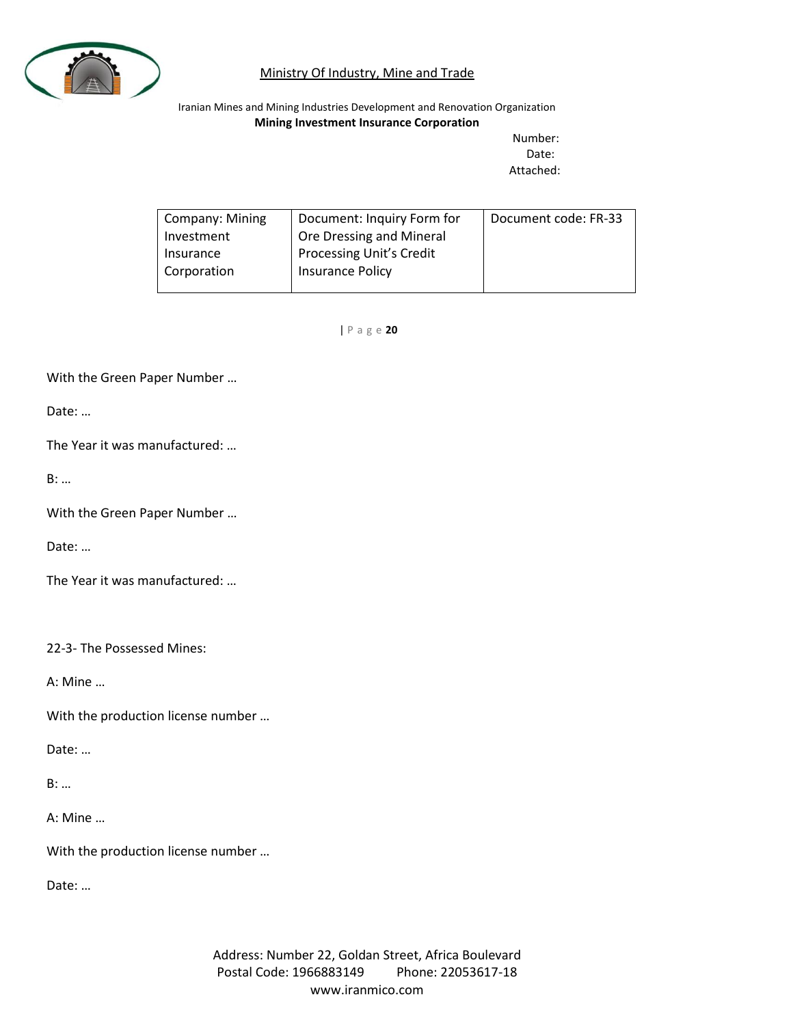

Iranian Mines and Mining Industries Development and Renovation Organization **Mining Investment Insurance Corporation**

Number: Date: Attached:

| Company: Mining | Document: Inquiry Form for      | Document code: FR-33 |
|-----------------|---------------------------------|----------------------|
| Investment      | Ore Dressing and Mineral        |                      |
| Insurance       | <b>Processing Unit's Credit</b> |                      |
| Corporation     | Insurance Policy                |                      |
|                 |                                 |                      |

| P a g e **20**

With the Green Paper Number …

Date: …

The Year it was manufactured: …

B: …

With the Green Paper Number …

Date: …

The Year it was manufactured: …

22-3- The Possessed Mines:

A: Mine …

With the production license number …

Date: …

B: …

A: Mine …

With the production license number …

Date: …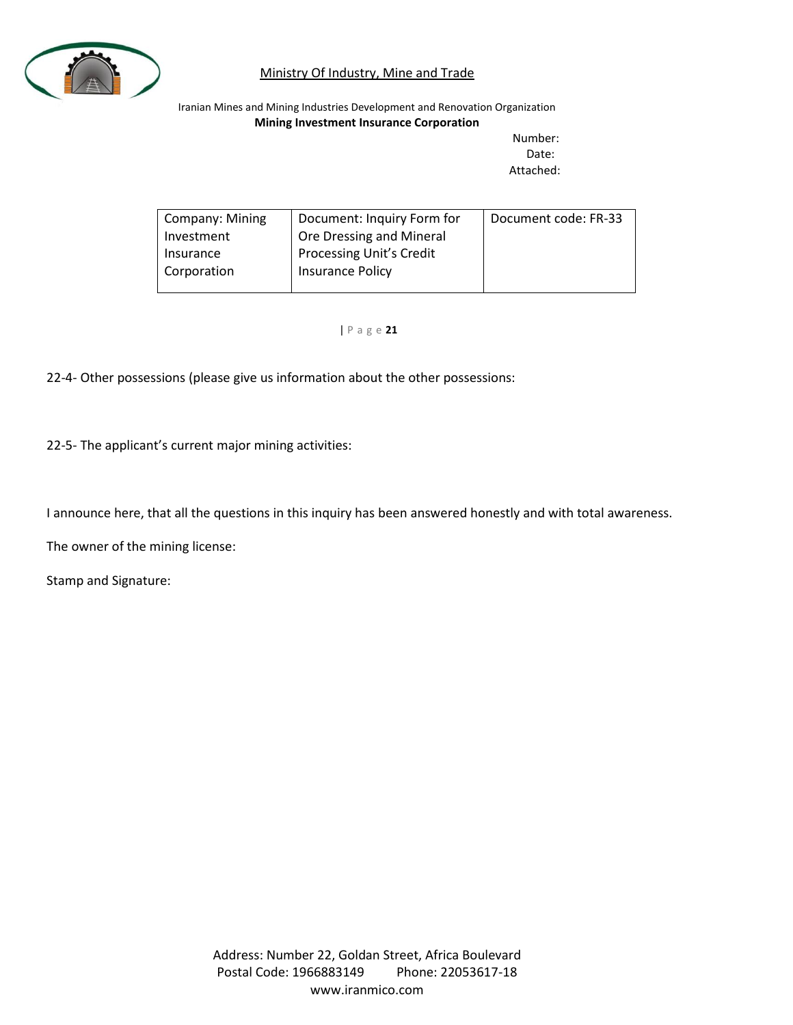

Iranian Mines and Mining Industries Development and Renovation Organization **Mining Investment Insurance Corporation**

Number: Date: Attached:

| Company: Mining | Document: Inquiry Form for      | Document code: FR-33 |
|-----------------|---------------------------------|----------------------|
| Investment      | Ore Dressing and Mineral        |                      |
| Insurance       | <b>Processing Unit's Credit</b> |                      |
| Corporation     | Insurance Policy                |                      |
|                 |                                 |                      |

#### | P a g e **21**

22-4- Other possessions (please give us information about the other possessions:

22-5- The applicant's current major mining activities:

I announce here, that all the questions in this inquiry has been answered honestly and with total awareness.

The owner of the mining license:

Stamp and Signature: